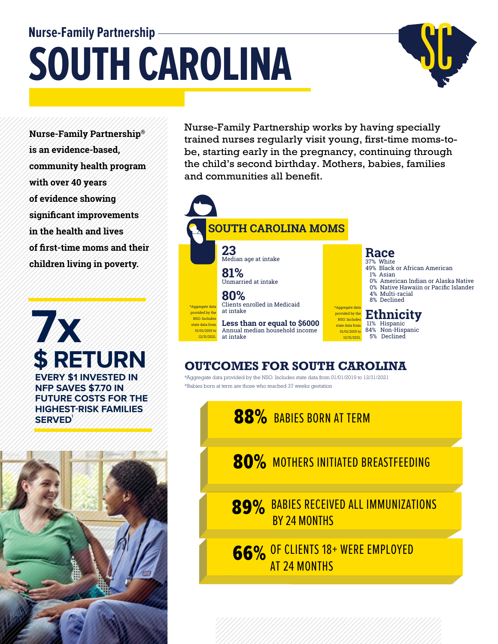# **Nurse-Family Partnership SOUTH CAROLINA**



**Nurse-Family Partnership® is an evidence-based, community health program with over 40 years of evidence showing significant improvements in the health and lives of first-time moms and their children living in poverty.**

**7x \$ RETURN EVERY \$1 INVESTED IN NFP SAVES \$7.70 IN FUTURE COSTS FOR THE HIGHEST-RISK FAMILIES**  SERVED<sup>1</sup>



Nurse-Family Partnership works by having specially trained nurses regularly visit young, first-time moms-tobe, starting early in the pregnancy, continuing through the child's second birthday. Mothers, babies, families and communities all benefit.



#### **OUTCOMES FOR SOUTH CAROLINA**

\*Aggregate data provided by the NSO. Includes state data from 01/01/2019 to 12/31/2021 \*Babies born at term are those who reached 37 weeks gestation

**88%** BABIES BORN AT TERM

80% MOTHERS INITIATED BREASTFEEDING

89% BABIES RECEIVED ALL IMMUNIZATIONS BY 24 MONTHS

66% OF CLIENTS 18+ WERE EMPLOYED AT 24 MONTHS